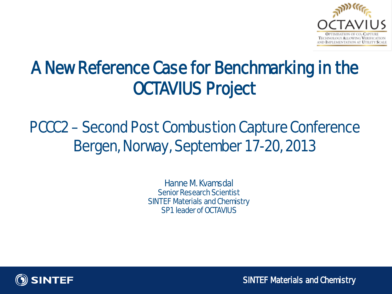

## A New Reference Case for Benchmarking in the OCTAVIUS Project

### PCCC2 – Second Post Combustion Capture Conference Bergen, Norway, September 17-20, 2013

Hanne M. Kvamsdal Senior Research Scientist SINTEF Materials and Chemistry SP1 leader of OCTAVILIS



SINTEF Materials and Chemistry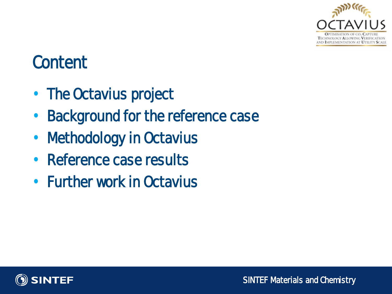

### **Content**

- The Octavius project
- **Background for the reference case**
- Methodology in Octavius
- Reference case results
- Further work in Octavius

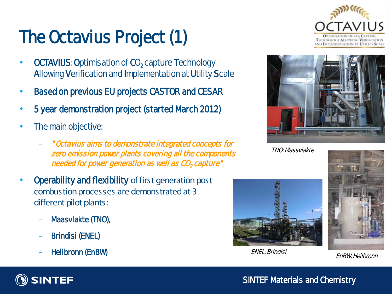# The Octavius Project (1)

- **OCTAVIUS: Optimisation of CO<sub>2</sub> capture Technology** Allowing Verification and Implementation at Utility Scale
- Based on previous EU projects CASTOR and CESAR
- 5 year demonstration project (started March 2012)
- The main objective:
	- " Octavius aims to demonstrate integrated concepts for zero emission power plants covering all the components needed for power generation as well as CO<sub>2</sub> capture"
- Operability and flexibility of first generation post combustion processes are demonstrated at 3 different pilot plants:
	- Maasvlakte (TNO),
	- Brindisi (ENEL)
	- Heilbronn (EnBW)





**TNO Massvlakte** 



ENEL: Brindisi EnBW: Heilbronn





SINTEF Materials and Chemistry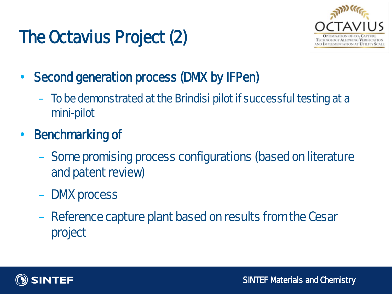# The Octavius Project (2)



- Second generation process (DMX by IFPen)
	- To be demonstrated at the Brindisi pilot if successful testing at a mini-pilot
- Benchmarking of
	- Some promising process configurations (based on literature and patent review)
	- DMX process
	- Reference capture plant based on results from the Cesar project

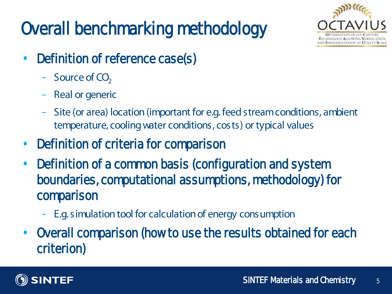# Overall benchmarking methodology



- Definition of reference case(s)
	- $-$  Source of CO<sub>2</sub>
	- Real or generic
	- Site (or area) location (important for e.g. feed stream conditions, ambient temperature, cooling water conditions, costs) or typical values
- Definition of criteria for comparison
- Definition of a common basis (configuration and system boundaries, computational assumptions, methodology) for comparison
	- E.g. simulation tool for calculation of energy consumption
- Overall comparison (how to use the results obtained for each criterion)

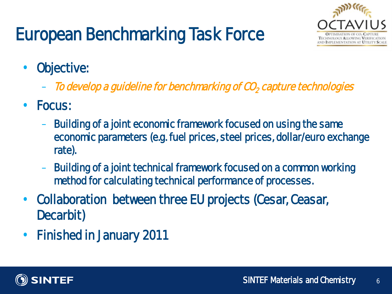## European Benchmarking Task Force



- **Cbjective:** 
	- $-$  To develop a guideline for benchmarking of  $\omega$ , capture technologies
- Focus:
	- Building of a joint economic framework focused on using the same economic parameters (e.g. fuel prices, steel prices, dollar/euro exchange rate).
	- Building of a joint technical framework focused on a common working method for calculating technical performance of processes.
- Collaboration between three EU projects (Cesar, Ceasar, Decarbit)
- Finished in January 2011

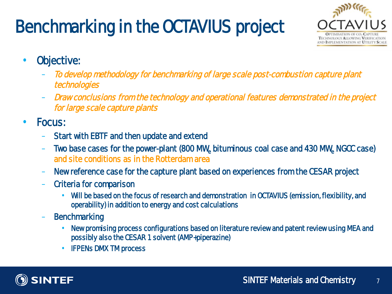## Benchmarking in the OCTAVIUS project



- Objective:
	- To develop methodology for benchmarking of large scale post-combustion capture plant technologies
	- Draw conclusions from the technology and operational features demonstrated in the project for large scale capture plants
- Focus:
	- Start with **EBTF** and then update and extend
	- Two base cases for the power-plant (800 MW<sub>s</sub> bituminous coal case and 430 MW<sub>s</sub> NGCC case) and site conditions as in the Rotterdam area
	- New reference case for the capture plant based on experiences from the CESAR project
	- Criteria for comparison
		- Will be based on the focus of research and demonstration in OCTAVIUS (emission, flexibility, and operability) in addition to energy and cost calculations
	- **Benchmarking** 
		- New promising process configurations based on literature review and patent review using MEA and possibly also the CESAR 1 solvent (AMP+piperazine)
		- IFPENs DMX TM process

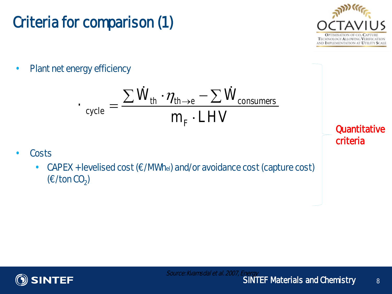

#### Criteria for comparison (1)  $\overline{\phantom{a}}$

Plant net energy efficiency

$$
\boldsymbol{\cdot}\,_{\text{cycle}} = \frac{\sum \dot{W}_{\text{th}} \cdot \eta_{\text{th}\rightarrow e} - \sum \dot{W}_{\text{consumers}}}{m_{\text{F}} \cdot \text{LHV}}
$$

- **Costs** 
	- CAPEX + levelised cost  $(\epsilon/NN_{\text{hel}})$  and/or avoidance cost (capture cost)  $(\epsilon$  ton  $\omega$ <sub>2</sub>)

**Quantitative** criteria

8

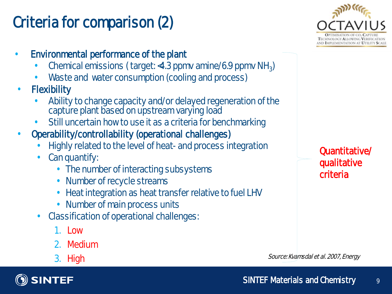### Criteria for comparison (2)

- Environmental performance of the plant
	- Chemical emissions ( target: <4.3 ppmv amine/6.9 ppmv NH3)
	- Waste and water consumption (cooling and process)
- **Flexibility** 
	- Ability to change capacity and/or delayed regeneration of the capture plant based on upstream varying load
	- Still uncertain how to use it as a criteria for benchmarking
- Operability/controllability (operational challenges)
	- Highly related to the level of heat- and process integration
	- Can quantify:
		- The number of interacting subsystems
		- Number of recycle streams
		- Heat integration as heat transfer relative to fuel LHV
		- Number of main process units
	- Classification of operational challenges:
		- 1. Low
		- 2. Medium
		- 3. High





Quantitative/ qualitative criteria

Source: Kvamsdal et al. 2007, Energy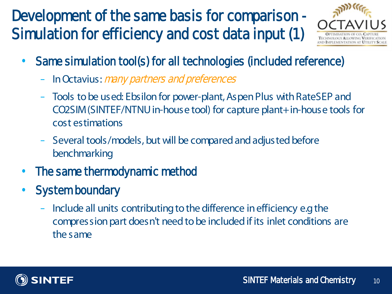### Development of the same basis for comparison - Simulation for efficiency and cost data input (1)



- Same simulation tool(s) for all technologies (included reference)
	- In Octavius: *many partners and preferences*
	- Tools to be used: Ebsilonfor power-plant, Aspen Plus with RateSEP and CO2SIM (SINTEF/NTNU in-house tool) for capture plant+ in-house tools for cost estimations
	- Several tools/models, but will be compared and adjusted before benchmarking
- The same thermodynamic method
- **System boundary** 
	- Include all units contributing to the difference in efficiency e.g the compression part doesn't need to be included if its inlet conditions are the same

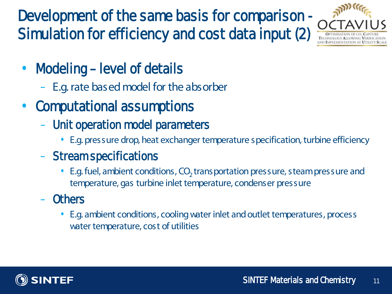Development of the same basis for comparison - Simulation for efficiency and cost data input (2)



- Modeling-level of details
	- E.g. rate based model for the absorber
- Computational assumptions
	- Unit operation model parameters
		- E.g. pressure drop, heat exchanger temperature specification, turbine efficiency
	- Stream specifications
		- E.g. fuel, ambient conditions, CO<sub>2</sub> transportation pressure, steam pressure and temperature, gas turbine inlet temperature, condenser pressure

### **Others**

• E.g. ambient conditions, cooling water inlet and outlet temperatures, process water temperature, cost of utilities

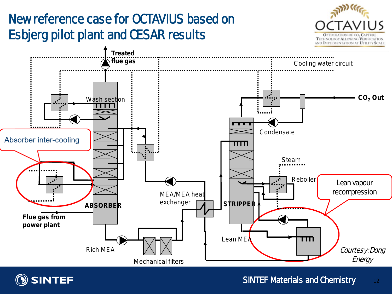

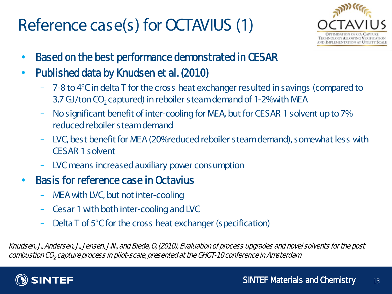### Reference case(s) for OCTAVIUS (1)



- Based on the best performance demonstrated in CESAR
- Published data by Knudsen et al. (2010)
	- 7-8 to 4°C in delta T for the cross heat exchanger resulted in savings (compared to 3.7 GJ/ton CO<sub>2</sub> captured) in reboiler steam demand of 1-2% with MEA
	- No significant benefit of inter-cooling for MEA, but for CESAR 1 solvent up to 7% reduced reboiler steam demand
	- LVC, best benefit for MEA (20% reduced reboilersteam demand), somewhat less with CESAR 1 solvent
	- LVC means increased auxiliary power consumption

#### • Basis for reference case in Octavius

- MEA with LVC, but not inter-cooling
- Cesar 1 with both inter-cooling and LVC
- Delta T of 5°C for the cross heat exchanger (specification)

 Knudsen, J., Andersen, J., Jensen, J.N., and Biede, O, (2010), Evaluation of process upgrades and novel solvents for the post  $combustion CO<sub>2</sub> capture process in pilot-scale, presented at the G-GF-10 conference in Amsterdam$ 

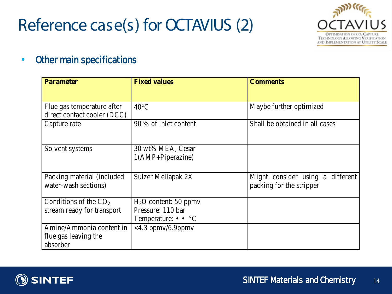### Reference case(s) for OCTAVIUS (2)



#### • Other main specifications

| <b>Parameter</b>                                          | <b>Fixed values</b>                      | <b>Comments</b>                                              |
|-----------------------------------------------------------|------------------------------------------|--------------------------------------------------------------|
|                                                           |                                          |                                                              |
| Flue gas temperature after<br>direct contact cooler (DCC) | $40^{\circ}$ C                           | Maybe further optimized                                      |
| Capture rate                                              | 90 % of inlet content                    | Shall be obtained in all cases                               |
| Solvent systems                                           | 30 wt% MEA, Cesar<br>$1(AMP+Piperazine)$ |                                                              |
| Packing material (included)<br>water-wash sections)       | Sulzer Mellapak 2X                       | Might consider using a different<br>packing for the stripper |
| Conditions of the $CO2$                                   | $H2O$ content: 50 ppmv                   |                                                              |
| stream ready for transport                                | Pressure: 110 bar                        |                                                              |
|                                                           | Temperature: $\bullet \bullet$ °C        |                                                              |
| Amine/Ammonia content in                                  | $<$ 4.3 ppmv/6.9ppmv                     |                                                              |
| flue gas leaving the                                      |                                          |                                                              |
| absorber                                                  |                                          |                                                              |

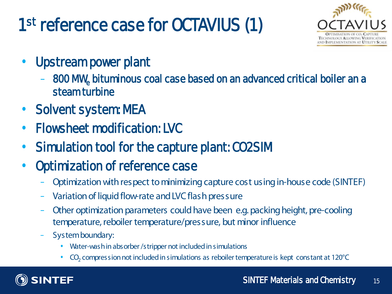# 1<sup>st</sup> reference case for CCTAVIUS (1)



- Upst ream power plant
	- 800 MWe bituminous coal case based on an advanced critical boiler an a steam turbine
- Solvent system: MEA
- Flowsheet modification: LVC
- Simulation tool for the capture plant: CO2SIM
- Optimization of reference case
	- Optimization with respect to minimizing capture cost using in-house code (SINTEF)
	- Variation of liquid flow-rate and LVC flash pressure
	- Other optimization parameters could have been e.g. packing height, pre-cooling temperature, reboiler temperature/pressure, but minor influence
	- System boundary:
		- Water-wash in absorber /stripper not included in simulations
		- CO2 compression not included in simulations as reboilertemperature is kept constant at 120°C

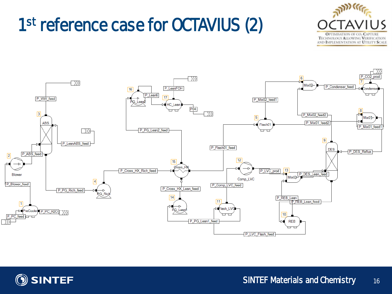## 1<sup>st</sup> reference case for OCTAVIUS (2)





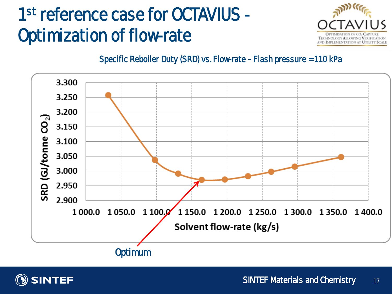## 1<sup>st</sup> reference case for **OCTAVIUS** -Optimization of flow-rate



Specific Reboiler Duty (SRD) vs. Flow-rate – Flash pressure = 110 kPa



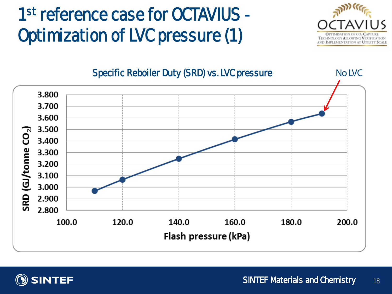## 1<sup>st</sup> reference case for **OCTAVIUS** -Optimization of LVC pressure (1)





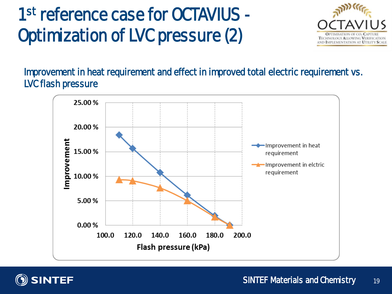## 1<sup>st</sup> reference case for **OCTAVIUS** -Optimization of LVC pressure (2)



Improvement in heat requirement and effect in improved total electric requirement vs. LVCflash pressure



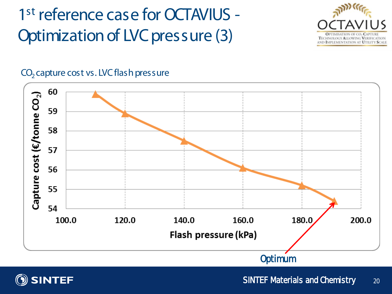1<sup>st</sup> reference case for OCTAVIUS -Optimization of LVC pressure (3)



#### $CO<sub>2</sub>$  capture cost vs. LVC flash pressure





SINTEF Materials and Chemistry 20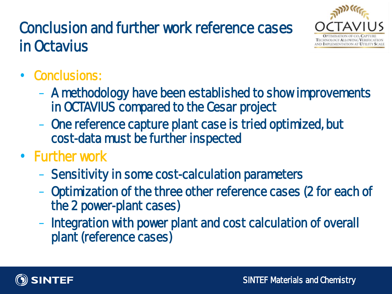### Conclusion and further work reference cases in Octavius



### Conclusions:

- A methodology have been established to show improvements in OCTAVIUS compared to the Cesar project
- One reference capture plant case is tried optimized, but cost-data must be further inspected
- Further work
	- Sensitivity in some cost-calculation parameters
	- Optimization of the three other reference cases (2 for each of the 2 power-plant cases)
	- Integration with power plant and cost calculation of overall plant (reference cases)